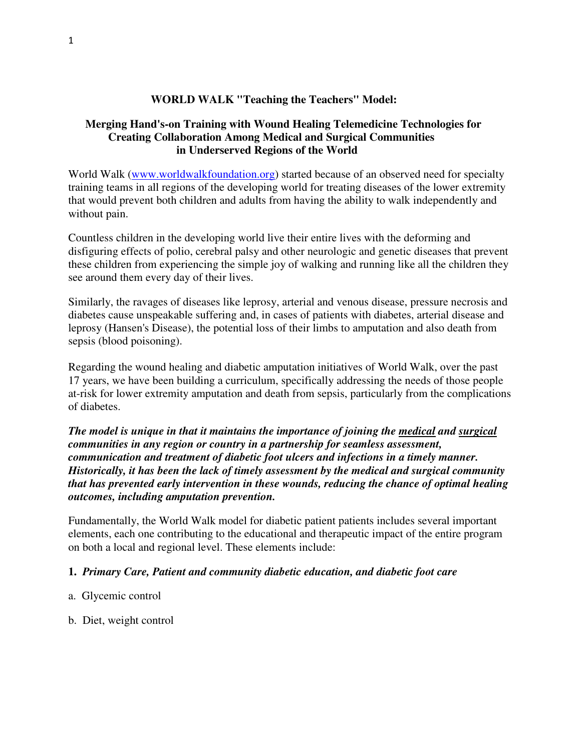## **WORLD WALK "Teaching the Teachers" Model:**

## **Merging Hand's-on Training with Wound Healing Telemedicine Technologies for Creating Collaboration Among Medical and Surgical Communities in Underserved Regions of the World**

World Walk (www.worldwalkfoundation.org) started because of an observed need for specialty training teams in all regions of the developing world for treating diseases of the lower extremity that would prevent both children and adults from having the ability to walk independently and without pain.

Countless children in the developing world live their entire lives with the deforming and disfiguring effects of polio, cerebral palsy and other neurologic and genetic diseases that prevent these children from experiencing the simple joy of walking and running like all the children they see around them every day of their lives.

Similarly, the ravages of diseases like leprosy, arterial and venous disease, pressure necrosis and diabetes cause unspeakable suffering and, in cases of patients with diabetes, arterial disease and leprosy (Hansen's Disease), the potential loss of their limbs to amputation and also death from sepsis (blood poisoning).

Regarding the wound healing and diabetic amputation initiatives of World Walk, over the past 17 years, we have been building a curriculum, specifically addressing the needs of those people at-risk for lower extremity amputation and death from sepsis, particularly from the complications of diabetes.

*The model is unique in that it maintains the importance of joining the medical and surgical communities in any region or country in a partnership for seamless assessment, communication and treatment of diabetic foot ulcers and infections in a timely manner. Historically, it has been the lack of timely assessment by the medical and surgical community that has prevented early intervention in these wounds, reducing the chance of optimal healing outcomes, including amputation prevention.* 

Fundamentally, the World Walk model for diabetic patient patients includes several important elements, each one contributing to the educational and therapeutic impact of the entire program on both a local and regional level. These elements include:

### **1.** *Primary Care, Patient and community diabetic education, and diabetic foot care*

- a. Glycemic control
- b. Diet, weight control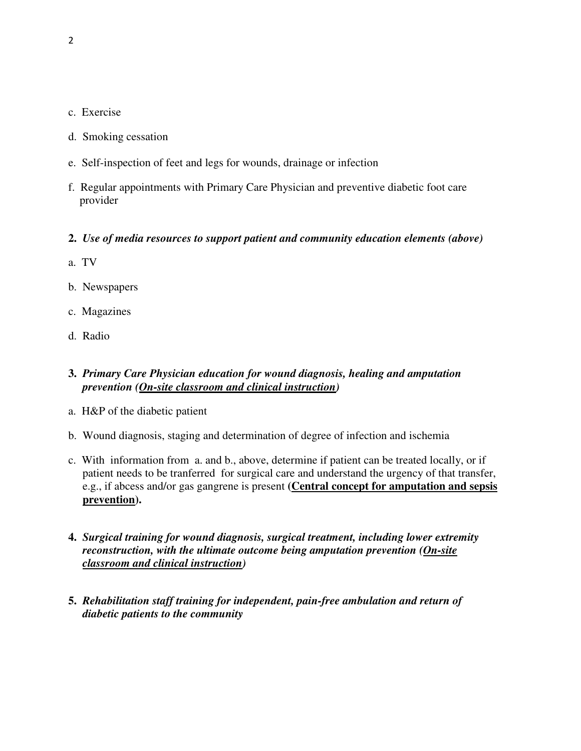- c. Exercise
- d. Smoking cessation
- e. Self-inspection of feet and legs for wounds, drainage or infection
- f. Regular appointments with Primary Care Physician and preventive diabetic foot care provider

#### **2.** *Use of media resources to support patient and community education elements (above)*

- a. TV
- b. Newspapers
- c. Magazines
- d. Radio

## **3.** *Primary Care Physician education for wound diagnosis, healing and amputation prevention (On-site classroom and clinical instruction)*

- a. H&P of the diabetic patient
- b. Wound diagnosis, staging and determination of degree of infection and ischemia
- c. With information from a. and b., above, determine if patient can be treated locally, or if patient needs to be tranferred for surgical care and understand the urgency of that transfer, e.g., if abcess and/or gas gangrene is present **(Central concept for amputation and sepsis prevention).**
- **4.** *Surgical training for wound diagnosis, surgical treatment, including lower extremity reconstruction, with the ultimate outcome being amputation prevention (On-site classroom and clinical instruction)*
- **5.** *Rehabilitation staff training for independent, pain-free ambulation and return of diabetic patients to the community*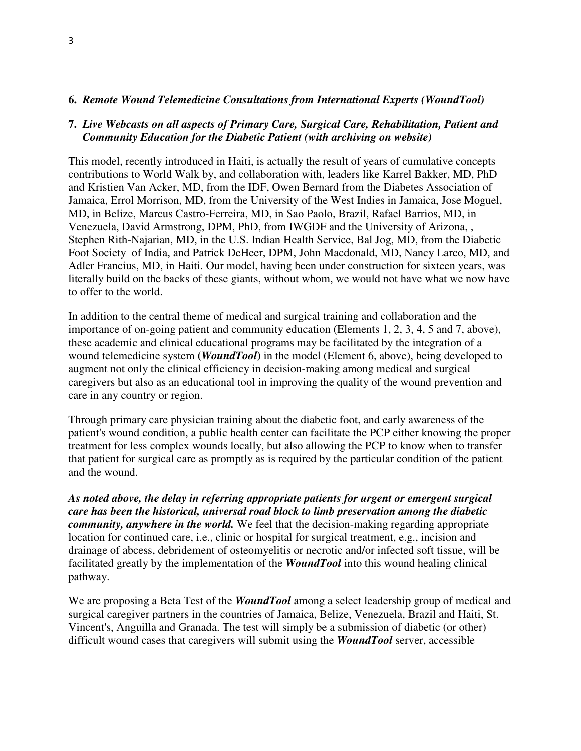#### **6.** *Remote Wound Telemedicine Consultations from International Experts (WoundTool)*

### **7.** *Live Webcasts on all aspects of Primary Care, Surgical Care, Rehabilitation, Patient and Community Education for the Diabetic Patient (with archiving on website)*

This model, recently introduced in Haiti, is actually the result of years of cumulative concepts contributions to World Walk by, and collaboration with, leaders like Karrel Bakker, MD, PhD and Kristien Van Acker, MD, from the IDF, Owen Bernard from the Diabetes Association of Jamaica, Errol Morrison, MD, from the University of the West Indies in Jamaica, Jose Moguel, MD, in Belize, Marcus Castro-Ferreira, MD, in Sao Paolo, Brazil, Rafael Barrios, MD, in Venezuela, David Armstrong, DPM, PhD, from IWGDF and the University of Arizona, , Stephen Rith-Najarian, MD, in the U.S. Indian Health Service, Bal Jog, MD, from the Diabetic Foot Society of India, and Patrick DeHeer, DPM, John Macdonald, MD, Nancy Larco, MD, and Adler Francius, MD, in Haiti. Our model, having been under construction for sixteen years, was literally build on the backs of these giants, without whom, we would not have what we now have to offer to the world.

In addition to the central theme of medical and surgical training and collaboration and the importance of on-going patient and community education (Elements 1, 2, 3, 4, 5 and 7, above), these academic and clinical educational programs may be facilitated by the integration of a wound telemedicine system **(***WoundTool***)** in the model (Element 6, above), being developed to augment not only the clinical efficiency in decision-making among medical and surgical caregivers but also as an educational tool in improving the quality of the wound prevention and care in any country or region.

Through primary care physician training about the diabetic foot, and early awareness of the patient's wound condition, a public health center can facilitate the PCP either knowing the proper treatment for less complex wounds locally, but also allowing the PCP to know when to transfer that patient for surgical care as promptly as is required by the particular condition of the patient and the wound.

*As noted above, the delay in referring appropriate patients for urgent or emergent surgical care has been the historical, universal road block to limb preservation among the diabetic community, anywhere in the world.* We feel that the decision-making regarding appropriate location for continued care, i.e., clinic or hospital for surgical treatment, e.g., incision and drainage of abcess, debridement of osteomyelitis or necrotic and/or infected soft tissue, will be facilitated greatly by the implementation of the *WoundTool* into this wound healing clinical pathway.

We are proposing a Beta Test of the *WoundTool* among a select leadership group of medical and surgical caregiver partners in the countries of Jamaica, Belize, Venezuela, Brazil and Haiti, St. Vincent's, Anguilla and Granada. The test will simply be a submission of diabetic (or other) difficult wound cases that caregivers will submit using the *WoundTool* server, accessible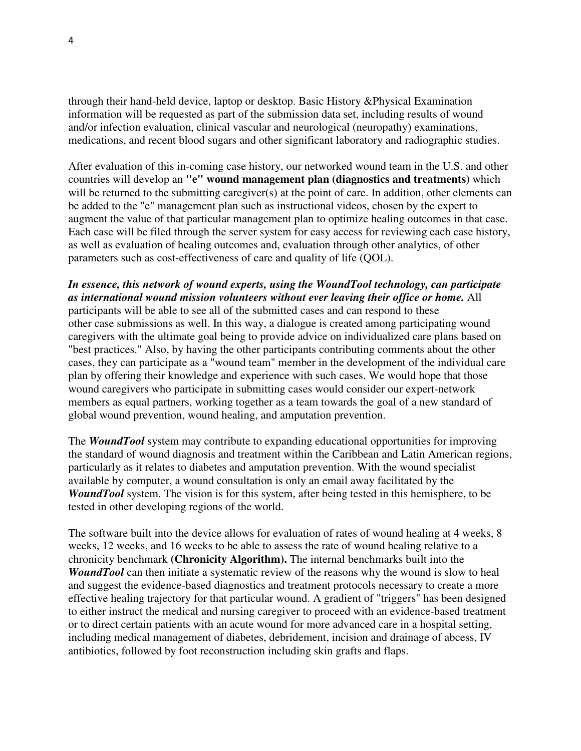through their hand-held device, laptop or desktop. Basic History &Physical Examination information will be requested as part of the submission data set, including results of wound and/or infection evaluation, clinical vascular and neurological (neuropathy) examinations, medications, and recent blood sugars and other significant laboratory and radiographic studies.

After evaluation of this in-coming case history, our networked wound team in the U.S. and other countries will develop an **"e" wound management plan (diagnostics and treatments)** which will be returned to the submitting caregiver(s) at the point of care. In addition, other elements can be added to the "e" management plan such as instructional videos, chosen by the expert to augment the value of that particular management plan to optimize healing outcomes in that case. Each case will be filed through the server system for easy access for reviewing each case history, as well as evaluation of healing outcomes and, evaluation through other analytics, of other parameters such as cost-effectiveness of care and quality of life (QOL).

# *In essence, this network of wound experts, using the WoundTool technology, can participate as international wound mission volunteers without ever leaving their office or home.* All

participants will be able to see all of the submitted cases and can respond to these other case submissions as well. In this way, a dialogue is created among participating wound caregivers with the ultimate goal being to provide advice on individualized care plans based on "best practices." Also, by having the other participants contributing comments about the other cases, they can participate as a "wound team" member in the development of the individual care plan by offering their knowledge and experience with such cases. We would hope that those wound caregivers who participate in submitting cases would consider our expert-network members as equal partners, working together as a team towards the goal of a new standard of global wound prevention, wound healing, and amputation prevention.

The *WoundTool* system may contribute to expanding educational opportunities for improving the standard of wound diagnosis and treatment within the Caribbean and Latin American regions, particularly as it relates to diabetes and amputation prevention. With the wound specialist available by computer, a wound consultation is only an email away facilitated by the *WoundTool* system. The vision is for this system, after being tested in this hemisphere, to be tested in other developing regions of the world.

The software built into the device allows for evaluation of rates of wound healing at 4 weeks, 8 weeks, 12 weeks, and 16 weeks to be able to assess the rate of wound healing relative to a chronicity benchmark **(Chronicity Algorithm).** The internal benchmarks built into the *WoundTool* can then initiate a systematic review of the reasons why the wound is slow to heal and suggest the evidence-based diagnostics and treatment protocols necessary to create a more effective healing trajectory for that particular wound. A gradient of "triggers" has been designed to either instruct the medical and nursing caregiver to proceed with an evidence-based treatment or to direct certain patients with an acute wound for more advanced care in a hospital setting, including medical management of diabetes, debridement, incision and drainage of abcess, IV antibiotics, followed by foot reconstruction including skin grafts and flaps.